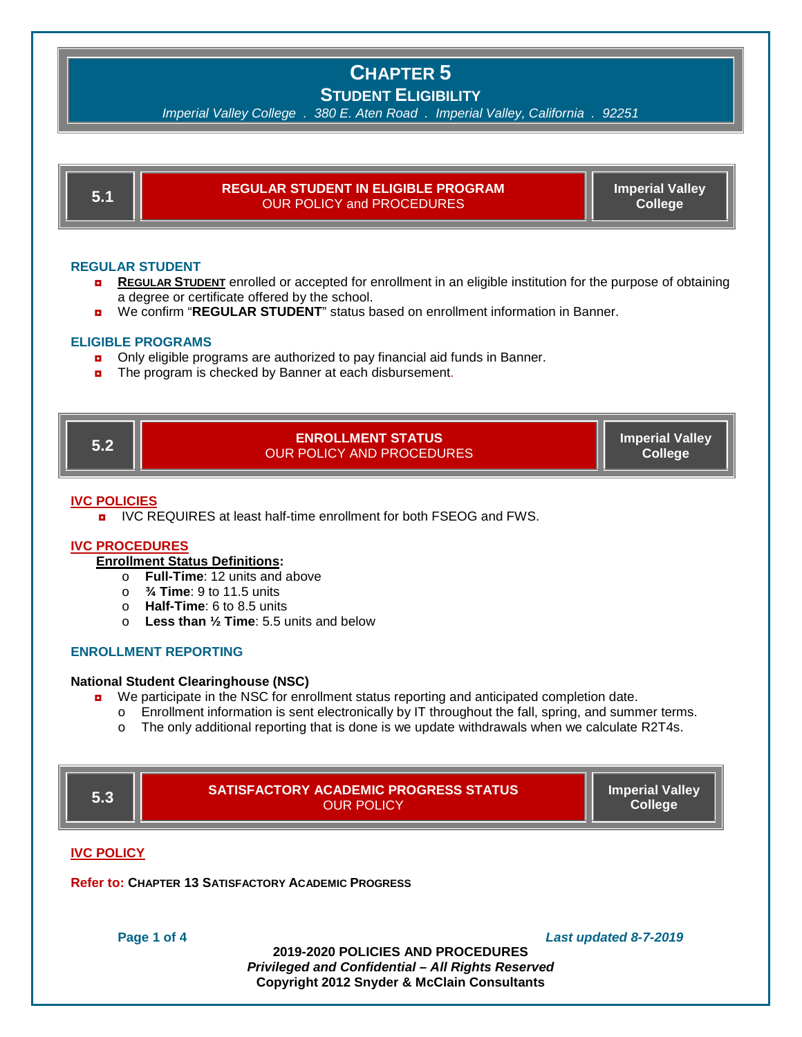*Imperial Valley College . 380 E. Aten Road . Imperial Valley, California . 92251*

|  | TЛ. | <b>REGULAR STUDENT IN ELIGIBLE PROGRAM</b><br>OUR POLICY and PROCEDURES | <b>Imperial Valley</b><br><b>College</b> |
|--|-----|-------------------------------------------------------------------------|------------------------------------------|
|--|-----|-------------------------------------------------------------------------|------------------------------------------|

#### **REGULAR STUDENT**

- **REGULAR STUDENT** enrolled or accepted for enrollment in an eligible institution for the purpose of obtaining a degree or certificate offered by the school.
- ◘ We confirm "**REGULAR STUDENT**" status based on enrollment information in Banner.

#### **ELIGIBLE PROGRAMS**

- only eligible programs are authorized to pay financial aid funds in Banner.
- The program is checked by Banner at each disbursement.

**5.2 ENROLLMENT STATUS** OUR POLICY AND PROCEDURES

**Imperial Valley College**

#### **IVC POLICIES**

**p** IVC REQUIRES at least half-time enrollment for both FSEOG and FWS.

### **IVC PROCEDURES**

### **Enrollment Status Definitions:**

- o **Full-Time**: 12 units and above
- o **¾ Time**: 9 to 11.5 units
- o **Half-Time**: 6 to 8.5 units
- o **Less than ½ Time**: 5.5 units and below

### **ENROLLMENT REPORTING**

#### **National Student Clearinghouse (NSC)**

- **D** We participate in the NSC for enrollment status reporting and anticipated completion date.
	- o Enrollment information is sent electronically by IT throughout the fall, spring, and summer terms.
	- o The only additional reporting that is done is we update withdrawals when we calculate R2T4s.

| 5.3                                                        | <b>SATISFACTORY ACADEMIC PROGRESS STATUS</b><br><b>OUR POLICY</b> | <b>Imperial Valley</b><br><b>College</b> |  |  |
|------------------------------------------------------------|-------------------------------------------------------------------|------------------------------------------|--|--|
| <b>IVC POLICY</b>                                          |                                                                   |                                          |  |  |
| <b>Refer to: CHAPTER 13 SATISFACTORY ACADEMIC PROGRESS</b> |                                                                   |                                          |  |  |

**Page 1 of 4** *Last updated 8-7-2019*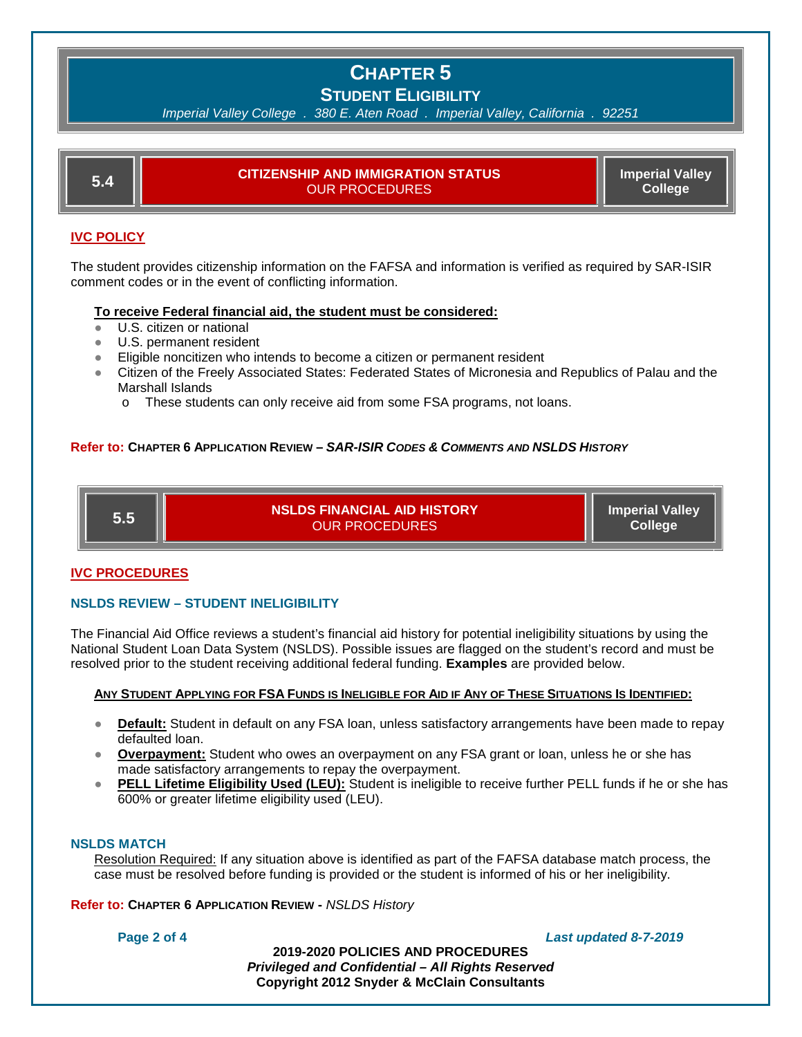|--|

| D 4. | CITIZENSHIP AND IMMIGRATION STATUS<br>OUR PROCEDURES. | <b>Imperial Valley</b><br><b>College</b> |
|------|-------------------------------------------------------|------------------------------------------|
|      |                                                       |                                          |

## **IVC POLICY**

The student provides citizenship information on the FAFSA and information is verified as required by SAR-ISIR comment codes or in the event of conflicting information.

### **To receive Federal financial aid, the student must be considered:**

- U.S. citizen or national
- U.S. permanent resident
- Eligible noncitizen who intends to become a citizen or permanent resident
- Citizen of the Freely Associated States: Federated States of Micronesia and Republics of Palau and the Marshall Islands
	- o These students can only receive aid from some FSA programs, not loans.

### **Refer to: CHAPTER 6 APPLICATION REVIEW –** *SAR-ISIR CODES & COMMENTS AND NSLDS HISTORY*

**5.5 NSLDS FINANCIAL AID HISTORY** OUR PROCEDURES

**Imperial Valley College**

### **IVC PROCEDURES**

### **NSLDS REVIEW – STUDENT INELIGIBILITY**

The Financial Aid Office reviews a student's financial aid history for potential ineligibility situations by using the National Student Loan Data System (NSLDS). Possible issues are flagged on the student's record and must be resolved prior to the student receiving additional federal funding. **Examples** are provided below.

#### **ANY STUDENT APPLYING FOR FSA FUNDS IS INELIGIBLE FOR AID IF ANY OF THESE SITUATIONS IS IDENTIFIED:**

- **Default:** Student in default on any FSA loan, unless satisfactory arrangements have been made to repay defaulted loan.
- **Overpayment:** Student who owes an overpayment on any FSA grant or loan, unless he or she has made satisfactory arrangements to repay the overpayment.
- **PELL Lifetime Eligibility Used (LEU):** Student is ineligible to receive further PELL funds if he or she has 600% or greater lifetime eligibility used (LEU).

### **NSLDS MATCH**

Resolution Required: If any situation above is identified as part of the FAFSA database match process, the case must be resolved before funding is provided or the student is informed of his or her ineligibility.

**Refer to: CHAPTER 6 APPLICATION REVIEW -** *NSLDS History* 

**Page 2 of 4** *Last updated 8-7-2019*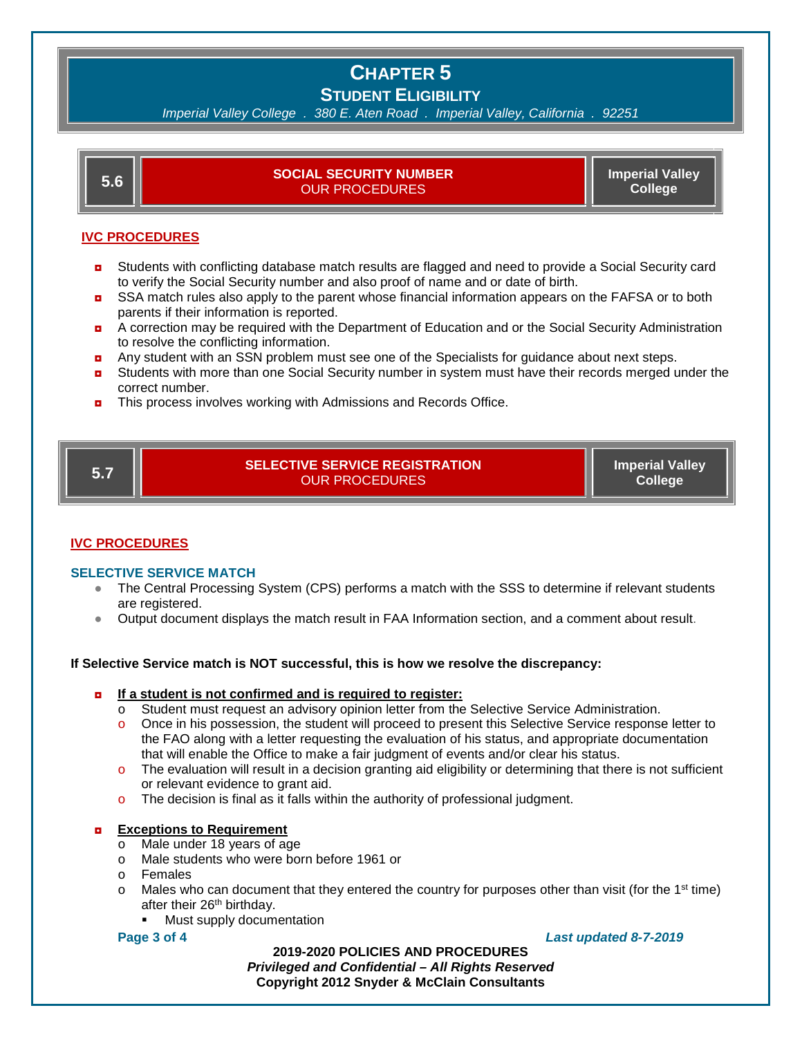*Imperial Valley College . 380 E. Aten Road . Imperial Valley, California . 92251*

| ნ.ნ |  |
|-----|--|

**5.6 SOCIAL SECURITY NUMBER** OUR PROCEDURES

**Imperial Valley College**

## **IVC PROCEDURES**

- **D** Students with conflicting database match results are flagged and need to provide a Social Security card to verify the Social Security number and also proof of name and or date of birth.
- **D** SSA match rules also apply to the parent whose financial information appears on the FAFSA or to both parents if their information is reported.
- ◘ A correction may be required with the Department of Education and or the Social Security Administration to resolve the conflicting information.
- a Any student with an SSN problem must see one of the Specialists for guidance about next steps.
- **D** Students with more than one Social Security number in system must have their records merged under the correct number.
- **D** This process involves working with Admissions and Records Office.

**5.7 SELECTIVE SERVICE REGISTRATION** OUR PROCEDURES

**Imperial Valley College**

## **IVC PROCEDURES**

## **SELECTIVE SERVICE MATCH**

- The Central Processing System (CPS) performs a match with the SSS to determine if relevant students are registered.
- Output document displays the match result in FAA Information section, and a comment about result.

## **If Selective Service match is NOT successful, this is how we resolve the discrepancy:**

### ◘ **If a student is not confirmed and is required to register:**

- o Student must request an advisory opinion letter from the Selective Service Administration.
- o Once in his possession, the student will proceed to present this Selective Service response letter to the FAO along with a letter requesting the evaluation of his status, and appropriate documentation that will enable the Office to make a fair judgment of events and/or clear his status.
- $\circ$  The evaluation will result in a decision granting aid eligibility or determining that there is not sufficient or relevant evidence to grant aid.
- $\circ$  The decision is final as it falls within the authority of professional judgment.

## **Exceptions to Requirement**

- o Male under 18 years of age
- o Male students who were born before 1961 or
- o Females
- $\circ$  Males who can document that they entered the country for purposes other than visit (for the 1<sup>st</sup> time) after their 26th birthday.
	- Must supply documentation

### **Page 3 of 4** *Last updated 8-7-2019*